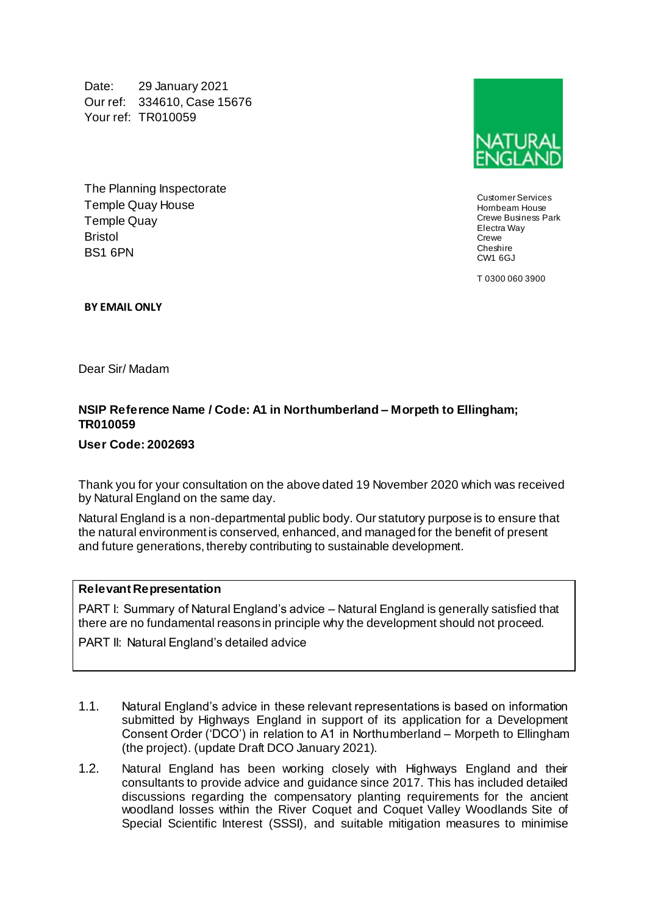Date: 29 January 2021 Our ref: 334610, Case 15676 Your ref: TR010059

The Planning Inspectorate Temple Quay House Temple Quay Bristol BS1 6PN



Customer Services Hornbeam House Crewe Business Park Electra Way **Crewe** Cheshire CW1 6GJ

T 0300 060 3900

**BY EMAIL ONLY**

Dear Sir/ Madam

## **NSIP Reference Name / Code: A1 in Northumberland – Morpeth to Ellingham; TR010059**

**User Code: 2002693**

Thank you for your consultation on the above dated 19 November 2020 which was received by Natural England on the same day.

Natural England is a non-departmental public body. Our statutory purpose is to ensure that the natural environment is conserved, enhanced, and managed for the benefit of present and future generations, thereby contributing to sustainable development.

#### **Relevant Representation**

PART I: Summary of Natural England's advice – Natural England is generally satisfied that there are no fundamental reasons in principle why the development should not proceed.

PART II: Natural England's detailed advice

- 1.1. Natural England's advice in these relevant representations is based on information submitted by Highways England in support of its application for a Development Consent Order ('DCO') in relation to A1 in Northumberland – Morpeth to Ellingham (the project). (update Draft DCO January 2021).
- 1.2. Natural England has been working closely with Highways England and their consultants to provide advice and guidance since 2017. This has included detailed discussions regarding the compensatory planting requirements for the ancient woodland losses within the River Coquet and Coquet Valley Woodlands Site of Special Scientific Interest (SSSI), and suitable mitigation measures to minimise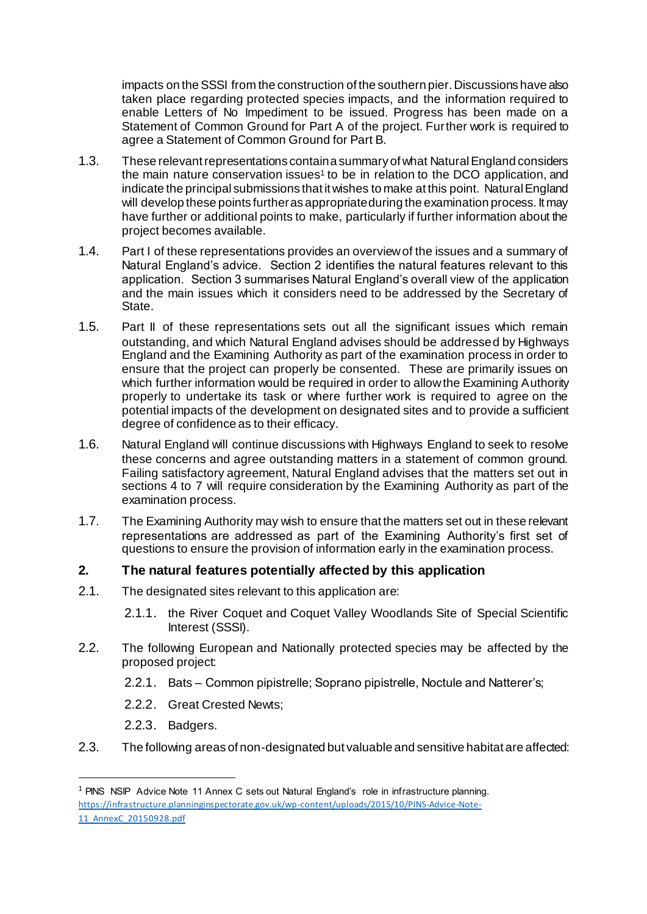impacts on the SSSI from the construction of the southern pier. Discussions have also taken place regarding protected species impacts, and the information required to enable Letters of No Impediment to be issued. Progress has been made on a Statement of Common Ground for Part A of the project. Further work is required to agree a Statement of Common Ground for Part B.

- 1.3. These relevant representations contain a summary of what Natural England considers the main nature conservation issues<sup>1</sup> to be in relation to the DCO application, and indicate the principal submissions that it wishes to make at this point. Natural England will develop these points further as appropriate during the examination process. It may have further or additional points to make, particularly if further information about the project becomes available.
- 1.4. Part I of these representations provides an overview of the issues and a summary of Natural England's advice. Section 2 identifies the natural features relevant to this application. Section 3 summarises Natural England's overall view of the application and the main issues which it considers need to be addressed by the Secretary of State.
- 1.5. Part II of these representations sets out all the significant issues which remain outstanding, and which Natural England advises should be addressed by Highways England and the Examining Authority as part of the examination process in order to ensure that the project can properly be consented. These are primarily issues on which further information would be required in order to allow the Examining Authority properly to undertake its task or where further work is required to agree on the potential impacts of the development on designated sites and to provide a sufficient degree of confidence as to their efficacy.
- 1.6. Natural England will continue discussions with Highways England to seek to resolve these concerns and agree outstanding matters in a statement of common ground. Failing satisfactory agreement, Natural England advises that the matters set out in sections 4 to 7 will require consideration by the Examining Authority as part of the examination process.
- 1.7. The Examining Authority may wish to ensure that the matters set out in these relevant representations are addressed as part of the Examining Authority's first set of questions to ensure the provision of information early in the examination process.

## **2. The natural features potentially affected by this application**

- 2.1. The designated sites relevant to this application are:
	- 2.1.1. the River Coquet and Coquet Valley Woodlands Site of Special Scientific Interest (SSSI).
- 2.2. The following European and Nationally protected species may be affected by the proposed project:
	- 2.2.1. Bats Common pipistrelle; Soprano pipistrelle, Noctule and Natterer's;
	- 2.2.2. Great Crested Newts;
	- 2.2.3. Badgers.

 $\overline{a}$ 

2.3. The following areas of non-designated but valuable and sensitive habitat are affected:

<sup>&</sup>lt;sup>1</sup> PINS NSIP Advice Note 11 Annex C sets out Natural England's role in infrastructure planning. [https://infrastructure.planninginspectorate.gov.uk/wp-content/uploads/2015/10/PINS-Advice-Note-](https://infrastructure.planninginspectorate.gov.uk/wp-content/uploads/2015/10/PINS-Advice-Note-11_AnnexC_20150928.pdf)[11\\_AnnexC\\_20150928.pdf](https://infrastructure.planninginspectorate.gov.uk/wp-content/uploads/2015/10/PINS-Advice-Note-11_AnnexC_20150928.pdf)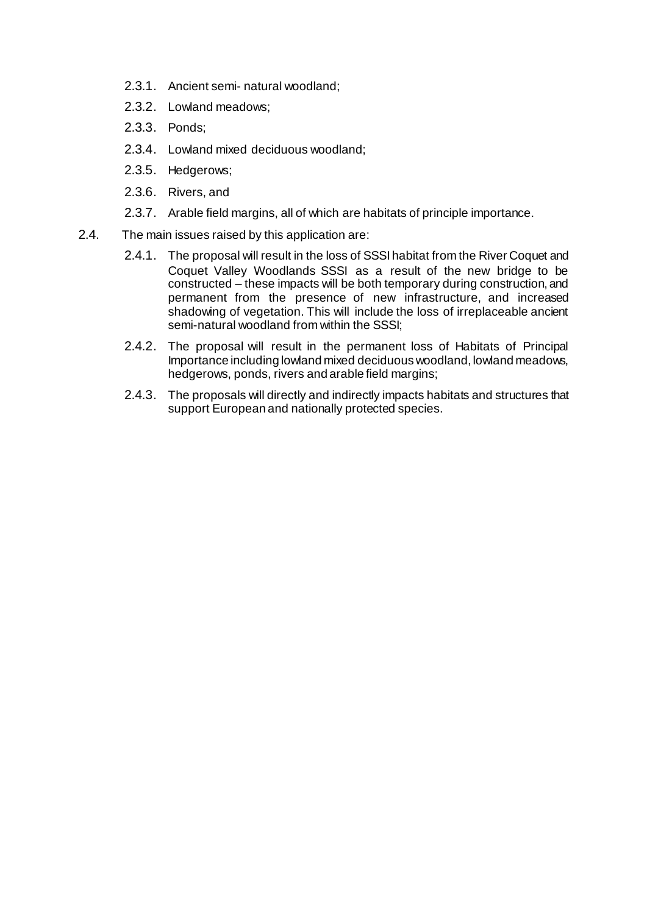- 2.3.1. Ancient semi- natural woodland;
- 2.3.2. Lowland meadows;
- 2.3.3. Ponds;
- 2.3.4. Lowland mixed deciduous woodland;
- 2.3.5. Hedgerows;
- 2.3.6. Rivers, and
- 2.3.7. Arable field margins, all of which are habitats of principle importance.
- 2.4. The main issues raised by this application are:
	- 2.4.1. The proposal will result in the loss of SSSI habitat from the River Coquet and Coquet Valley Woodlands SSSI as a result of the new bridge to be constructed – these impacts will be both temporary during construction, and permanent from the presence of new infrastructure, and increased shadowing of vegetation. This will include the loss of irreplaceable ancient semi-natural woodland from within the SSSI;
	- 2.4.2. The proposal will result in the permanent loss of Habitats of Principal Importance including lowland mixed deciduous woodland, lowland meadows, hedgerows, ponds, rivers and arable field margins;
	- 2.4.3. The proposals will directly and indirectly impacts habitats and structures that support European and nationally protected species.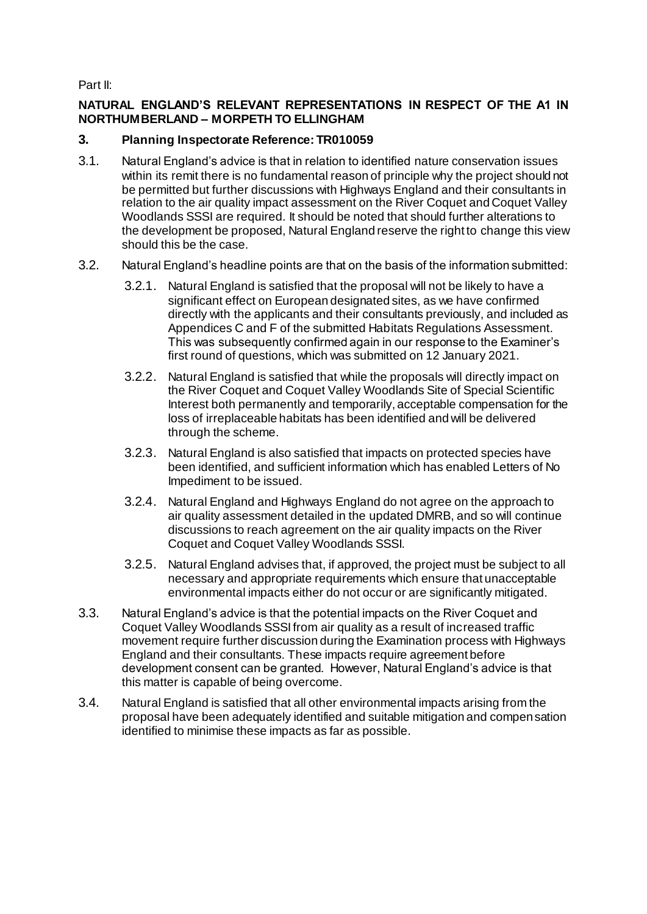Part II:

## **NATURAL ENGLAND'S RELEVANT REPRESENTATIONS IN RESPECT OF THE A1 IN NORTHUMBERLAND – MORPETH TO ELLINGHAM**

# **3. Planning Inspectorate Reference: TR010059**

- 3.1. Natural England's advice is that in relation to identified nature conservation issues within its remit there is no fundamental reason of principle why the project should not be permitted but further discussions with Highways England and their consultants in relation to the air quality impact assessment on the River Coquet and Coquet Valley Woodlands SSSI are required. It should be noted that should further alterations to the development be proposed, Natural England reserve the right to change this view should this be the case.
- 3.2. Natural England's headline points are that on the basis of the information submitted:
	- 3.2.1. Natural England is satisfied that the proposal will not be likely to have a significant effect on European designated sites, as we have confirmed directly with the applicants and their consultants previously, and included as Appendices C and F of the submitted Habitats Regulations Assessment. This was subsequently confirmed again in our response to the Examiner's first round of questions, which was submitted on 12 January 2021.
	- 3.2.2. Natural England is satisfied that while the proposals will directly impact on the River Coquet and Coquet Valley Woodlands Site of Special Scientific Interest both permanently and temporarily, acceptable compensation for the loss of irreplaceable habitats has been identified and will be delivered through the scheme.
	- 3.2.3. Natural England is also satisfied that impacts on protected species have been identified, and sufficient information which has enabled Letters of No Impediment to be issued.
	- 3.2.4. Natural England and Highways England do not agree on the approach to air quality assessment detailed in the updated DMRB, and so will continue discussions to reach agreement on the air quality impacts on the River Coquet and Coquet Valley Woodlands SSSI.
	- 3.2.5. Natural England advises that, if approved, the project must be subject to all necessary and appropriate requirements which ensure that unacceptable environmental impacts either do not occur or are significantly mitigated.
- 3.3. Natural England's advice is that the potential impacts on the River Coquet and Coquet Valley Woodlands SSSI from air quality as a result of increased traffic movement require further discussion during the Examination process with Highways England and their consultants. These impacts require agreement before development consent can be granted. However, Natural England's advice is that this matter is capable of being overcome.
- 3.4. Natural England is satisfied that all other environmental impacts arising from the proposal have been adequately identified and suitable mitigation and compensation identified to minimise these impacts as far as possible.